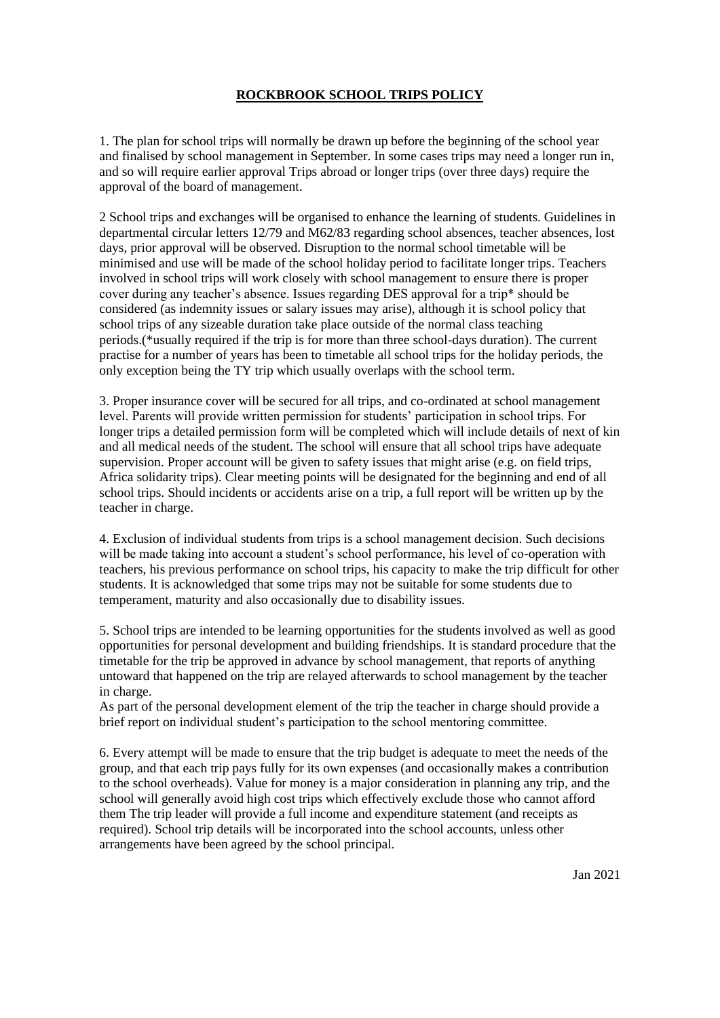## **ROCKBROOK SCHOOL TRIPS POLICY**

1. The plan for school trips will normally be drawn up before the beginning of the school year and finalised by school management in September. In some cases trips may need a longer run in, and so will require earlier approval Trips abroad or longer trips (over three days) require the approval of the board of management.

2 School trips and exchanges will be organised to enhance the learning of students. Guidelines in departmental circular letters 12/79 and M62/83 regarding school absences, teacher absences, lost days, prior approval will be observed. Disruption to the normal school timetable will be minimised and use will be made of the school holiday period to facilitate longer trips. Teachers involved in school trips will work closely with school management to ensure there is proper cover during any teacher's absence. Issues regarding DES approval for a trip\* should be considered (as indemnity issues or salary issues may arise), although it is school policy that school trips of any sizeable duration take place outside of the normal class teaching periods.(\*usually required if the trip is for more than three school-days duration). The current practise for a number of years has been to timetable all school trips for the holiday periods, the only exception being the TY trip which usually overlaps with the school term.

3. Proper insurance cover will be secured for all trips, and co-ordinated at school management level. Parents will provide written permission for students' participation in school trips. For longer trips a detailed permission form will be completed which will include details of next of kin and all medical needs of the student. The school will ensure that all school trips have adequate supervision. Proper account will be given to safety issues that might arise (e.g. on field trips, Africa solidarity trips). Clear meeting points will be designated for the beginning and end of all school trips. Should incidents or accidents arise on a trip, a full report will be written up by the teacher in charge.

4. Exclusion of individual students from trips is a school management decision. Such decisions will be made taking into account a student's school performance, his level of co-operation with teachers, his previous performance on school trips, his capacity to make the trip difficult for other students. It is acknowledged that some trips may not be suitable for some students due to temperament, maturity and also occasionally due to disability issues.

5. School trips are intended to be learning opportunities for the students involved as well as good opportunities for personal development and building friendships. It is standard procedure that the timetable for the trip be approved in advance by school management, that reports of anything untoward that happened on the trip are relayed afterwards to school management by the teacher in charge.

As part of the personal development element of the trip the teacher in charge should provide a brief report on individual student's participation to the school mentoring committee.

6. Every attempt will be made to ensure that the trip budget is adequate to meet the needs of the group, and that each trip pays fully for its own expenses (and occasionally makes a contribution to the school overheads). Value for money is a major consideration in planning any trip, and the school will generally avoid high cost trips which effectively exclude those who cannot afford them The trip leader will provide a full income and expenditure statement (and receipts as required). School trip details will be incorporated into the school accounts, unless other arrangements have been agreed by the school principal.